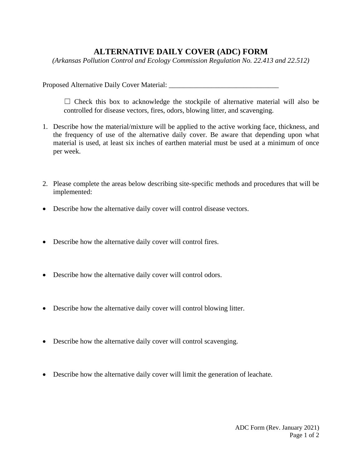## **ALTERNATIVE DAILY COVER (ADC) FORM**

*(Arkansas Pollution Control and Ecology Commission Regulation No. 22.413 and 22.512)* 

Proposed Alternative Daily Cover Material:

 $\Box$  Check this box to acknowledge the stockpile of alternative material will also be controlled for disease vectors, fires, odors, blowing litter, and scavenging.

- 1. Describe how the material/mixture will be applied to the active working face, thickness, and the frequency of use of the alternative daily cover. Be aware that depending upon what material is used, at least six inches of earthen material must be used at a minimum of once per week.
- 2. Please complete the areas below describing site-specific methods and procedures that will be implemented:
- Describe how the alternative daily cover will control disease vectors.
- Describe how the alternative daily cover will control fires.
- Describe how the alternative daily cover will control odors.
- Describe how the alternative daily cover will control blowing litter.
- Describe how the alternative daily cover will control scavenging.
- Describe how the alternative daily cover will limit the generation of leachate.